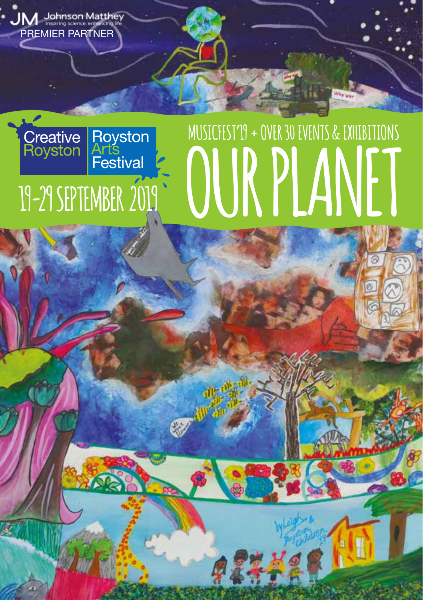

487788

G

PREMIER PARTNER

**JM** Johnson Matthey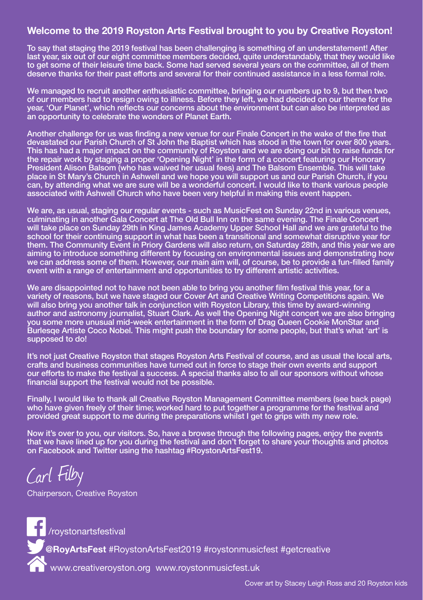#### Welcome to the 2019 Royston Arts Festival brought to you by Creative Royston!

To say that staging the 2019 festival has been challenging is something of an understatement! After last year, six out of our eight committee members decided, quite understandably, that they would like to get some of their leisure time back. Some had served several years on the committee, all of them deserve thanks for their past efforts and several for their continued assistance in a less formal role.

We managed to recruit another enthusiastic committee, bringing our numbers up to 9, but then two of our members had to resign owing to illness. Before they left, we had decided on our theme for the year, 'Our Planet', which reflects our concerns about the environment but can also be interpreted as an opportunity to celebrate the wonders of Planet Earth.

Another challenge for us was finding a new venue for our Finale Concert in the wake of the fire that devastated our Parish Church of St John the Baptist which has stood in the town for over 800 years. This has had a major impact on the community of Royston and we are doing our bit to raise funds for the repair work by staging a proper 'Opening Night' in the form of a concert featuring our Honorary President Alison Balsom (who has waived her usual fees) and The Balsom Ensemble. This will take place in St Mary's Church in Ashwell and we hope you will support us and our Parish Church, if you can, by attending what we are sure will be a wonderful concert. I would like to thank various people associated with Ashwell Church who have been very helpful in making this event happen.

We are, as usual, staging our regular events - such as MusicFest on Sunday 22nd in various venues, culminating in another Gala Concert at The Old Bull Inn on the same evening. The Finale Concert will take place on Sunday 29th in King James Academy Upper School Hall and we are grateful to the school for their continuing support in what has been a transitional and somewhat disruptive year for them. The Community Event in Priory Gardens will also return, on Saturday 28th, and this year we are aiming to introduce something different by focusing on environmental issues and demonstrating how we can address some of them. However, our main aim will, of course, be to provide a fun-filled family event with a range of entertainment and opportunities to try different artistic activities.

We are disappointed not to have not been able to bring you another film festival this year, for a variety of reasons, but we have staged our Cover Art and Creative Writing Competitions again. We will also bring you another talk in conjunction with Royston Library, this time by award-winning author and astronomy journalist, Stuart Clark. As well the Opening Night concert we are also bringing you some more unusual mid-week entertainment in the form of Drag Queen Cookie MonStar and Burlesqe Artiste Coco Nobel. This might push the boundary for some people, but that's what 'art' is supposed to do!

It's not just Creative Royston that stages Royston Arts Festival of course, and as usual the local arts, crafts and business communities have turned out in force to stage their own events and support our efforts to make the festival a success. A special thanks also to all our sponsors without whose financial support the festival would not be possible.

Finally, I would like to thank all Creative Royston Management Committee members (see back page) who have given freely of their time; worked hard to put together a programme for the festival and provided great support to me during the preparations whilst I get to grips with my new role.

Now it's over to you, our visitors. So, have a browse through the following pages, enjoy the events that we have lined up for you during the festival and don't forget to share your thoughts and photos on Facebook and Twitter using the hashtag #RoystonArtsFest19.

Carl Filby

Chairperson, Creative Royston

roystonartsfestival @**RoyArtsFest** #RoystonArtsFest2019 #roystonmusicfest #getcreative www.creativeroyston.org www.roystonmusicfest.uk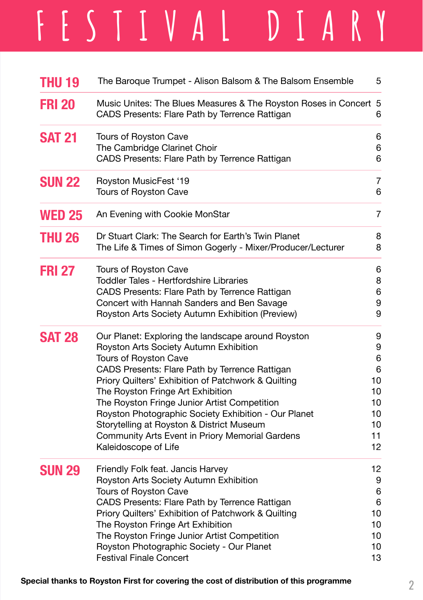# **FESTIVAL DIARY**

| <b>THU 19</b> | The Baroque Trumpet - Alison Balsom & The Balsom Ensemble                                                                                                                                                                                                                                                                                                                                                                                                                                           | 5                                                          |
|---------------|-----------------------------------------------------------------------------------------------------------------------------------------------------------------------------------------------------------------------------------------------------------------------------------------------------------------------------------------------------------------------------------------------------------------------------------------------------------------------------------------------------|------------------------------------------------------------|
| <b>FRI 20</b> | Music Unites: The Blues Measures & The Royston Roses in Concert 5<br>CADS Presents: Flare Path by Terrence Rattigan                                                                                                                                                                                                                                                                                                                                                                                 | 6                                                          |
| <b>SAT 21</b> | Tours of Royston Cave<br>The Cambridge Clarinet Choir<br>CADS Presents: Flare Path by Terrence Rattigan                                                                                                                                                                                                                                                                                                                                                                                             | 6<br>6<br>6                                                |
| <b>SUN 22</b> | Royston MusicFest '19<br>Tours of Royston Cave                                                                                                                                                                                                                                                                                                                                                                                                                                                      | 7<br>6                                                     |
| <b>WED 25</b> | An Evening with Cookie MonStar                                                                                                                                                                                                                                                                                                                                                                                                                                                                      | $\overline{7}$                                             |
| <b>THU 26</b> | Dr Stuart Clark: The Search for Earth's Twin Planet<br>The Life & Times of Simon Gogerly - Mixer/Producer/Lecturer                                                                                                                                                                                                                                                                                                                                                                                  | 8<br>8                                                     |
| <b>FRI 27</b> | Tours of Royston Cave<br>Toddler Tales - Hertfordshire Libraries<br>CADS Presents: Flare Path by Terrence Rattigan<br>Concert with Hannah Sanders and Ben Savage<br>Royston Arts Society Autumn Exhibition (Preview)                                                                                                                                                                                                                                                                                | 6<br>8<br>6<br>9<br>9                                      |
| <b>SAT 28</b> | Our Planet: Exploring the landscape around Royston<br>Royston Arts Society Autumn Exhibition<br>Tours of Royston Cave<br>CADS Presents: Flare Path by Terrence Rattigan<br>Priory Quilters' Exhibition of Patchwork & Quilting<br>The Royston Fringe Art Exhibition<br>The Royston Fringe Junior Artist Competition<br>Royston Photographic Society Exhibition - Our Planet<br>Storytelling at Royston & District Museum<br>Community Arts Event in Priory Memorial Gardens<br>Kaleidoscope of Life | 9<br>9<br>6<br>6<br>10<br>10<br>10<br>10<br>10<br>11<br>12 |
| <b>SUN 29</b> | Friendly Folk feat. Jancis Harvey<br>Royston Arts Society Autumn Exhibition<br>Tours of Royston Cave<br>CADS Presents: Flare Path by Terrence Rattigan<br>Priory Quilters' Exhibition of Patchwork & Quilting<br>The Royston Fringe Art Exhibition<br>The Royston Fringe Junior Artist Competition<br>Royston Photographic Society - Our Planet<br><b>Festival Finale Concert</b>                                                                                                                   | 12<br>9<br>6<br>6<br>10<br>10<br>10<br>10<br>13            |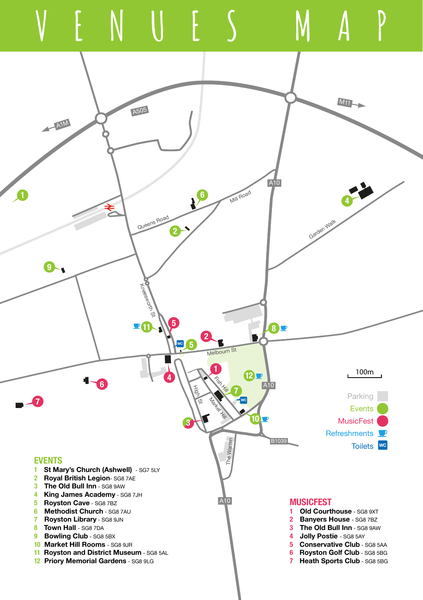



**5 Conservative Club - SG8 5AA 6 Royston Golf Club - SG8 5BG** 7 Heath Sports Club - SG8 5BG

- **9 Bowling Club SG8 5BX**
- 10 Market Hill Rooms SG8 9JR
- 11 Royston and District Museum SG8 5AL
- 12 Priory Memorial Gardens SG8 9LG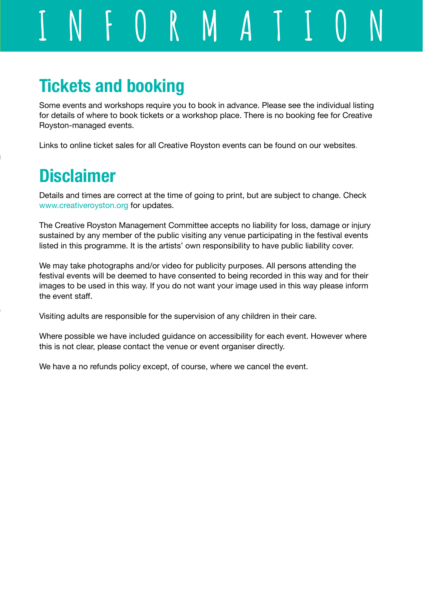**INFORMATION**

# Tickets and booking

Some events and workshops require you to book in advance. Please see the individual listing for details of where to book tickets or a workshop place. There is no booking fee for Creative Royston-managed events.

Links to online ticket sales for all Creative Royston events can be found on our websites.

# **Disclaimer**

Details and times are correct at the time of going to print, but are subject to change. Check www.creativeroyston.org for updates.

The Creative Royston Management Committee accepts no liability for loss, damage or injury sustained by any member of the public visiting any venue participating in the festival events listed in this programme. It is the artists' own responsibility to have public liability cover.

We may take photographs and/or video for publicity purposes. All persons attending the festival events will be deemed to have consented to being recorded in this way and for their images to be used in this way. If you do not want your image used in this way please inform the event staff.

Visiting adults are responsible for the supervision of any children in their care.

Where possible we have included guidance on accessibility for each event. However where this is not clear, please contact the venue or event organiser directly.

We have a no refunds policy except, of course, where we cancel the event.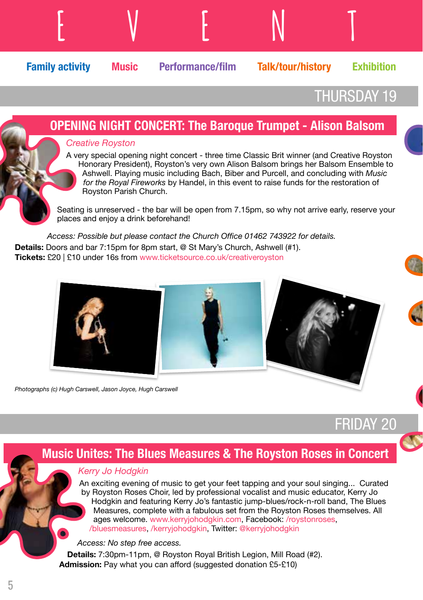

## THURSDAY 19

FRIDAY 20

#### OPENING NIGHT CONCERT: The Baroque Trumpet - Alison Balsom Creative Royston A very special opening night concert - three time Classic Brit winner (and Creative Royston Honorary President), Royston's very own Alison Balsom brings her Balsom Ensemble to Ashwell. Playing music including Bach, Biber and Purcell, and concluding with Music for the Royal Fireworks by Handel, in this event to raise funds for the restoration of Royston Parish Church. Seating is unreserved - the bar will be open from 7.15pm, so why not arrive early, reserve your places and enjoy a drink beforehand! Access: Possible but please contact the Church Office 01462 743922 for details.

Details: Doors and bar 7:15pm for 8pm start, @ St Mary's Church, Ashwell (#1). Tickets: £20 | £10 under 16s from www.ticketsource.co.uk/creativeroyston



Photographs (c) Hugh Carswell, Jason Joyce, Hugh Carswell

## Music Unites: The Blues Measures & The Royston Roses in Concert

#### Kerry Jo Hodgkin

An exciting evening of music to get your feet tapping and your soul singing... Curated by Royston Roses Choir, led by professional vocalist and music educator, Kerry Jo Hodgkin and featuring Kerry Jo's fantastic jump-blues/rock-n-roll band, The Blues Measures, complete with a fabulous set from the Royston Roses themselves. All ages welcome. www.kerryjohodgkin.com, Facebook: /roystonroses, /bluesmeasures, /kerryjohodgkin, Twitter: @kerryjohodgkin

#### Access: No step free access.

Details: 7:30pm-11pm, @ Royston Royal British Legion, Mill Road (#2). Admission: Pay what you can afford (suggested donation £5-£10)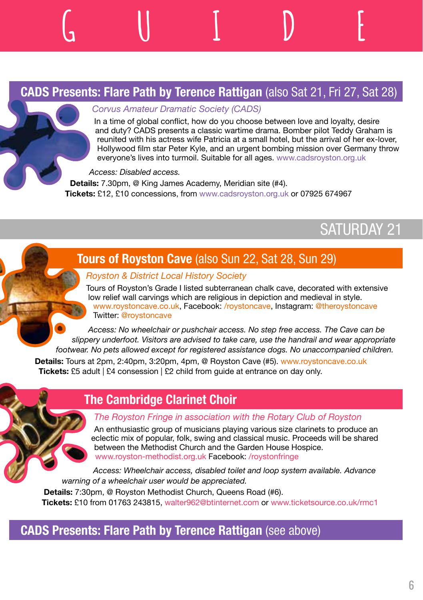## CADS Presents: Flare Path by Terence Rattigan (also Sat 21, Fri 27, Sat 28)

#### Corvus Amateur Dramatic Society (CADS)

In a time of global conflict, how do you choose between love and loyalty, desire and duty? CADS presents a classic wartime drama. Bomber pilot Teddy Graham is reunited with his actress wife Patricia at a small hotel, but the arrival of her ex-lover, Hollywood film star Peter Kyle, and an urgent bombing mission over Germany throw everyone's lives into turmoil. Suitable for all ages. www.cadsroyston.org.uk

#### Access: Disabled access.

**EVENT GUIDE**

Details: 7.30pm, @ King James Academy, Meridian site (#4). Tickets: £12, £10 concessions, from www.cadsroyston.org.uk or 07925 674967

## SATURDAY 21

## **Tours of Royston Cave (also Sun 22, Sat 28, Sun 29)**

#### Royston & District Local History Society

Tours of Royston's Grade I listed subterranean chalk cave, decorated with extensive low relief wall carvings which are religious in depiction and medieval in style. www.roystoncave.co.uk, Facebook: /roystoncave, Instagram: @theroystoncave Twitter: @roystoncave

Access: No wheelchair or pushchair access. No step free access. The Cave can be slippery underfoot. Visitors are advised to take care, use the handrail and wear appropriate footwear. No pets allowed except for registered assistance dogs. No unaccompanied children.

Details: Tours at 2pm, 2:40pm, 3:20pm, 4pm, @ Royston Cave (#5). www.roystoncave.co.uk Tickets: £5 adult | £4 consession | £2 child from quide at entrance on day only.

#### The Cambridge Clarinet Choir

#### The Royston Fringe in association with the Rotary Club of Royston

An enthusiastic group of musicians playing various size clarinets to produce an eclectic mix of popular, folk, swing and classical music. Proceeds will be shared between the Methodist Church and the Garden House Hospice. www.royston-methodist.org.uk Facebook: /roystonfringe

Access: Wheelchair access, disabled toilet and loop system available. Advance warning of a wheelchair user would be appreciated.

Details: 7:30pm, @ Royston Methodist Church, Queens Road (#6). Tickets: £10 from 01763 243815, walter962@btinternet.com or www.ticketsource.co.uk/rmc1

## CADS Presents: Flare Path by Terence Rattigan (see above)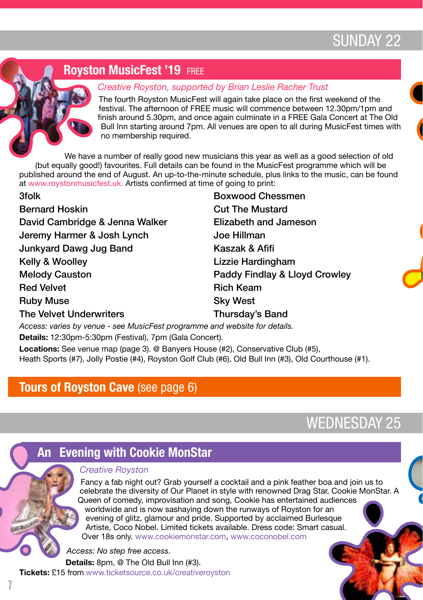## SUNDAY 22

## **Royston MusicFest '19 FREE**

#### Creative Royston, supported by Brian Leslie Racher Trust

The fourth Royston MusicFest will again take place on the first weekend of the festival. The afternoon of FREE music will commence between 12.30pm/1pm and finish around 5.30pm, and once again culminate in a FREE Gala Concert at The Old Bull Inn starting around 7pm. All venues are open to all during MusicFest times with no membership required.

We have a number of really good new musicians this year as well as a good selection of old (but equally good!) favourites. Full details can be found in the MusicFest programme which will be published around the end of August. An up-to-the-minute schedule, plus links to the music, can be found at www.roystonmusicfest.uk. Artists confirmed at time of going to print:

| 3folk                          | <b>Boxwood Chessmen</b>       |
|--------------------------------|-------------------------------|
| <b>Bernard Hoskin</b>          | <b>Cut The Mustard</b>        |
| David Cambridge & Jenna Walker | Elizabeth and Jameson         |
| Jeremy Harmer & Josh Lynch     | Joe Hillman                   |
| Junkyard Dawg Jug Band         | Kaszak & Afifi                |
| Kelly & Woolley                | Lizzie Hardingham             |
| <b>Melody Causton</b>          | Paddy Findlay & Lloyd Crowley |
| <b>Red Velvet</b>              | <b>Rich Keam</b>              |
| <b>Ruby Muse</b>               | <b>Sky West</b>               |
| The Velvet Underwriters        | Thursday's Band               |

Access: varies by venue - see MusicFest programme and website for details. Details: 12:30pm-5:30pm (Festival), 7pm (Gala Concert).

Locations: See venue map (page 3). @ Banyers House (#2), Conservative Club (#5), Heath Sports (#7), Jolly Postie (#4), Royston Golf Club (#6), Old Bull Inn (#3), Old Courthouse (#1).

## Tours of Royston Cave (see page 6)

WEDNESDAY 25

## An Evening with Cookie MonStar

#### Creative Royston

Fancy a fab night out? Grab yourself a cocktail and a pink feather boa and join us to celebrate the diversity of Our Planet in style with renowned Drag Star, Cookie MonStar. A Queen of comedy, improvisation and song, Cookie has entertained audiences worldwide and is now sashaying down the runways of Royston for an evening of glitz, glamour and pride. Supported by acclaimed Burlesque Artiste, Coco Nobel. Limited tickets available. Dress code: Smart casual. Over 18s only. www.cookiemonstar.com, www.coconobel.com

Access: No step free access. Details: 8pm, @ The Old Bull Inn (#3).

**Tickets: £15 from www.ticketsource.co.uk/creativeroyston**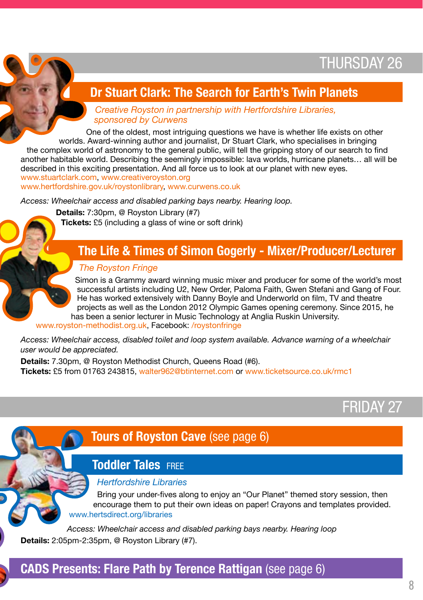## THURSDAY 26

## Dr Stuart Clark: The Search for Earth's Twin Planets

Creative Royston in partnership with Hertfordshire Libraries, sponsored by Curwens

One of the oldest, most intriguing questions we have is whether life exists on other worlds. Award-winning author and journalist, Dr Stuart Clark, who specialises in bringing the complex world of astronomy to the general public, will tell the gripping story of our search to find another habitable world. Describing the seemingly impossible: lava worlds, hurricane planets… all will be described in this exciting presentation. And all force us to look at our planet with new eyes. www.stuartclark.com, www.creativeroyston.org www.hertfordshire.gov.uk/roystonlibrary, www.curwens.co.uk

Access: Wheelchair access and disabled parking bays nearby. Hearing loop.

Details: 7:30pm, @ Royston Library (#7) Tickets: £5 (including a glass of wine or soft drink)

### The Life & Times of Simon Gogerly - Mixer/Producer/Lecturer

#### The Royston Fringe

Simon is a Grammy award winning music mixer and producer for some of the world's most successful artists including U2, New Order, Paloma Faith, Gwen Stefani and Gang of Four. He has worked extensively with Danny Boyle and Underworld on film, TV and theatre projects as well as the London 2012 Olympic Games opening ceremony. Since 2015, he has been a senior lecturer in Music Technology at Anglia Ruskin University.

www.royston-methodist.org.uk, Facebook: /roystonfringe

Access: Wheelchair access, disabled toilet and loop system available. Advance warning of a wheelchair user would be appreciated.

Details: 7.30pm, @ Royston Methodist Church, Queens Road (#6). Tickets: £5 from 01763 243815, walter962@btinternet.com or www.ticketsource.co.uk/rmc1

## FRIDAY 27

## Tours of Royston Cave (see page 6)

## Toddler Tales free

#### Hertfordshire Libraries

Bring your under-fives along to enjoy an "Our Planet" themed story session, then encourage them to put their own ideas on paper! Crayons and templates provided. www.hertsdirect.org/libraries

Access: Wheelchair access and disabled parking bays nearby. Hearing loop Details: 2:05pm-2:35pm, @ Royston Library (#7).



#### CADS Presents: Flare Path by Terence Rattigan (see page 6)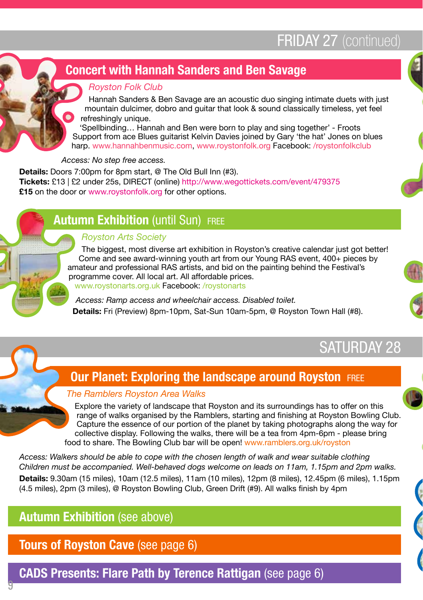# **FRIDAY 27 (continued)**

## Concert with Hannah Sanders and Ben Savage

#### Royston Folk Club

Hannah Sanders & Ben Savage are an acoustic duo singing intimate duets with just mountain dulcimer, dobro and quitar that look & sound classically timeless, yet feel refreshingly unique.

'Spellbinding… Hannah and Ben were born to play and sing together' - Froots Support from ace Blues guitarist Kelvin Davies joined by Gary 'the hat' Jones on blues harp. www.hannahbenmusic.com, www.roystonfolk.org Facebook: /roystonfolkclub

Access: No step free access.

Details: Doors 7:00pm for 8pm start, @ The Old Bull Inn (#3). Tickets: £13 | £2 under 25s, DIRECT (online) http://www.wegottickets.com/event/479375 **£15** on the door or www.roystonfolk.org for other options.

## **Autumn Exhibition (until Sun) FREE**

#### Royston Arts Society

The biggest, most diverse art exhibition in Royston's creative calendar just got better! Come and see award-winning youth art from our Young RAS event, 400+ pieces by amateur and professional RAS artists, and bid on the painting behind the Festival's programme cover. All local art. All affordable prices. www.roystonarts.org.uk Facebook: /roystonarts

Access: Ramp access and wheelchair access. Disabled toilet. Details: Fri (Preview) 8pm-10pm, Sat-Sun 10am-5pm, @ Royston Town Hall (#8).





## SATURDAY 28

## **Our Planet: Exploring the landscape around Royston FREE**

#### The Ramblers Royston Area Walks

Explore the variety of landscape that Royston and its surroundings has to offer on this range of walks organised by the Ramblers, starting and finishing at Royston Bowling Club. Capture the essence of our portion of the planet by taking photographs along the way for collective display. Following the walks, there will be a tea from 4pm-6pm - please bring food to share. The Bowling Club bar will be open! www.ramblers.org.uk/royston

Access: Walkers should be able to cope with the chosen length of walk and wear suitable clothing Children must be accompanied. Well-behaved dogs welcome on leads on 11am, 1.15pm and 2pm walks. Details: 9.30am (15 miles), 10am (12.5 miles), 11am (10 miles), 12pm (8 miles), 12.45pm (6 miles), 1.15pm (4.5 miles), 2pm (3 miles), @ Royston Bowling Club, Green Drift (#9). All walks finish by 4pm

## Autumn Exhibition (see above)

9

## Tours of Royston Cave (see page 6)

CADS Presents: Flare Path by Terence Rattigan (see page 6)

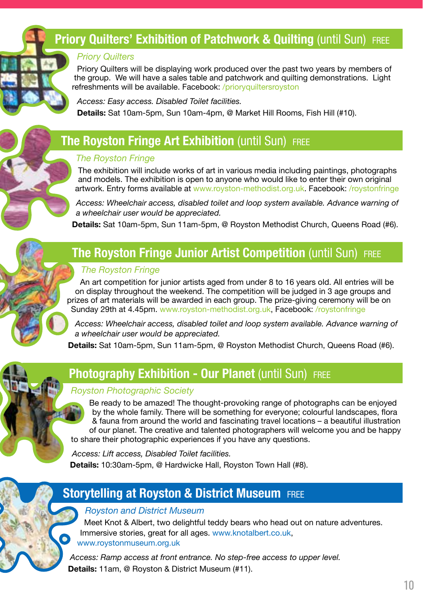## Priory Quilters' Exhibition of Patchwork & Quilting (until Sun) FREE

#### **Priory Quilters**

Priory Quilters will be displaying work produced over the past two years by members of the group. We will have a sales table and patchwork and quilting demonstrations. Light refreshments will be available. Facebook: /prioryquiltersroyston

Access: Easy access. Disabled Toilet facilities. Details: Sat 10am-5pm, Sun 10am-4pm, @ Market Hill Rooms, Fish Hill (#10).

## **The Royston Fringe Art Exhibition (until Sun) FREE**

#### The Royston Fringe

The exhibition will include works of art in various media including paintings, photographs and models. The exhibition is open to anyone who would like to enter their own original artwork. Entry forms available at www.royston-methodist.org.uk. Facebook: /roystonfringe

Access: Wheelchair access, disabled toilet and loop system available. Advance warning of a wheelchair user would be appreciated.

Details: Sat 10am-5pm, Sun 11am-5pm, @ Royston Methodist Church, Queens Road (#6).

## **The Royston Fringe Junior Artist Competition (until Sun) FREE**

#### The Royston Fringe

An art competition for junior artists aged from under 8 to 16 years old. All entries will be on display throughout the weekend. The competition will be judged in 3 age groups and prizes of art materials will be awarded in each group. The prize-giving ceremony will be on Sunday 29th at 4.45pm. www.royston-methodist.org.uk, Facebook: /roystonfringe

Access: Wheelchair access, disabled toilet and loop system available. Advance warning of a wheelchair user would be appreciated.

Details: Sat 10am-5pm, Sun 11am-5pm, @ Royston Methodist Church, Queens Road (#6).



## **Photography Exhibition - Our Planet (until Sun) FREE**

#### Royston Photographic Society

Be ready to be amazed! The thought-provoking range of photographs can be enjoyed by the whole family. There will be something for everyone; colourful landscapes, flora & fauna from around the world and fascinating travel locations – a beautiful illustration of our planet. The creative and talented photographers will welcome you and be happy to share their photographic experiences if you have any questions.

Access: Lift access, Disabled Toilet facilities. Details: 10:30am-5pm, @ Hardwicke Hall, Royston Town Hall (#8).



### **Storytelling at Royston & District Museum FREE**

#### Royston and District Museum

Meet Knot & Albert, two delightful teddy bears who head out on nature adventures. Immersive stories, great for all ages. www.knotalbert.co.uk, www.roystonmuseum.org.uk

Access: Ramp access at front entrance. No step-free access to upper level. Details: 11am, @ Royston & District Museum (#11).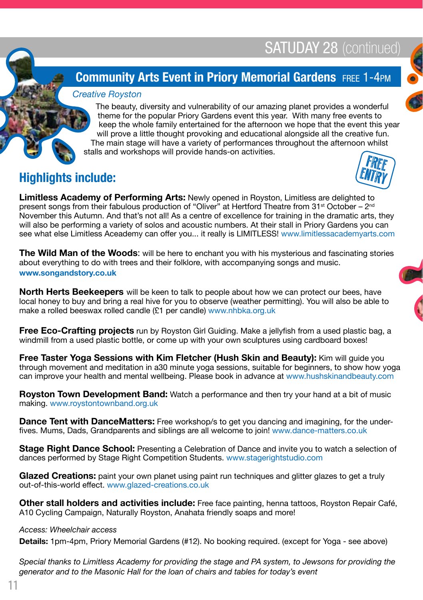**ENTRY** 



The beauty, diversity and vulnerability of our amazing planet provides a wonderful theme for the popular Priory Gardens event this year. With many free events to keep the whole family entertained for the afternoon we hope that the event this year will prove a little thought provoking and educational alongside all the creative fun. The main stage will have a variety of performances throughout the afternoon whilst stalls and workshops will provide hands-on activities. FREE

## Highlights include:

Limitless Academy of Performing Arts: Newly opened in Royston, Limitless are delighted to present songs from their fabulous production of "Oliver" at Hertford Theatre from 31st October – 2nd November this Autumn. And that's not all! As a centre of excellence for training in the dramatic arts, they will also be performing a variety of solos and acoustic numbers. At their stall in Priory Gardens you can see what else Limitless Aceademy can offer you... it really is LIMITLESS! www.limitlessacademyarts.com

**The Wild Man of the Woods:** will be here to enchant you with his mysterious and fascinating stories about everything to do with trees and their folklore, with accompanying songs and music. www.songandstory.co.uk

North Herts Beekeepers will be keen to talk to people about how we can protect our bees, have local honey to buy and bring a real hive for you to observe (weather permitting). You will also be able to make a rolled beeswax rolled candle (£1 per candle) www.nhbka.org.uk

Free Eco-Crafting projects run by Royston Girl Guiding. Make a jellyfish from a used plastic bag, a windmill from a used plastic bottle, or come up with your own sculptures using cardboard boxes!

Free Taster Yoga Sessions with Kim Fletcher (Hush Skin and Beauty): Kim will quide you through movement and meditation in a30 minute yoga sessions, suitable for beginners, to show how yoga can improve your health and mental wellbeing. Please book in advance at www.hushskinandbeauty.com

**Royston Town Development Band:** Watch a performance and then try your hand at a bit of music making. www.roystontownband.org.uk

**Dance Tent with DanceMatters:** Free workshop/s to get you dancing and imagining, for the underfives. Mums, Dads, Grandparents and siblings are all welcome to join! www.dance-matters.co.uk

Stage Right Dance School: Presenting a Celebration of Dance and invite you to watch a selection of dances performed by Stage Right Competition Students. www.stagerightstudio.com

Glazed Creations: paint your own planet using paint run techniques and glitter glazes to get a truly out-of-this-world effect. www.glazed-creations.co.uk

Other stall holders and activities include: Free face painting, henna tattoos, Royston Repair Café, A10 Cycling Campaign, Naturally Royston, Anahata friendly soaps and more!

#### Access: Wheelchair access

Details: 1pm-4pm, Priory Memorial Gardens (#12). No booking required. (except for Yoga - see above)

Special thanks to Limitless Academy for providing the stage and PA system, to Jewsons for providing the generator and to the Masonic Hall for the loan of chairs and tables for today's event

11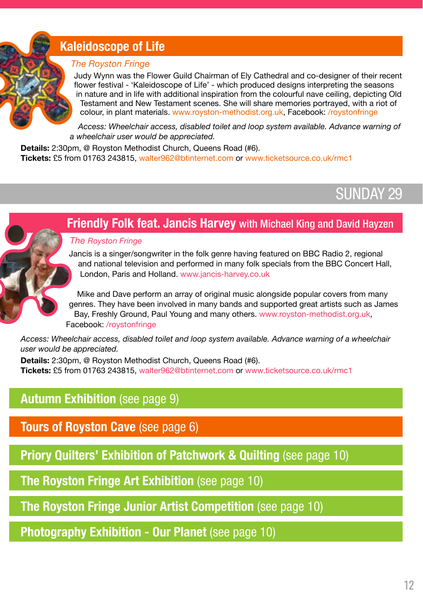## Kaleidoscope of Life

#### The Royston Fringe

Judy Wynn was the Flower Guild Chairman of Ely Cathedral and co-designer of their recent flower festival - 'Kaleidoscope of Life' - which produced designs interpreting the seasons in nature and in life with additional inspiration from the colourful nave ceiling, depicting Old Testament and New Testament scenes. She will share memories portrayed, with a riot of colour, in plant materials. www.royston-methodist.org.uk, Facebook: /roystonfringe

Access: Wheelchair access, disabled toilet and loop system available. Advance warning of a wheelchair user would be appreciated.

Details: 2:30pm, @ Royston Methodist Church, Queens Road (#6). Tickets: £5 from 01763 243815, walter962@btinternet.com or www.ticketsource.co.uk/rmc1

## SUNDAY 29



**Friendly Folk feat. Jancis Harvey** with Michael King and David Hayzen

Jancis is a singer/songwriter in the folk genre having featured on BBC Radio 2, regional and national television and performed in many folk specials from the BBC Concert Hall, London, Paris and Holland. www.jancis-harvey.co.uk

Mike and Dave perform an array of original music alongside popular covers from many genres. They have been involved in many bands and supported great artists such as James Bay, Freshly Ground, Paul Young and many others. www.royston-methodist.org.uk, Facebook: /roystonfringe

Access: Wheelchair access, disabled toilet and loop system available. Advance warning of a wheelchair user would be appreciated.

Details: 2:30pm, @ Royston Methodist Church, Queens Road (#6). Tickets: £5 from 01763 243815, walter962@btinternet.com or www.ticketsource.co.uk/rmc1

## Autumn Exhibition (see page 9)

Tours of Royston Cave (see page 6)

**Priory Quilters' Exhibition of Patchwork & Quilting (see page 10)** 

The Royston Fringe Art Exhibition (see page 10)

The Royston Fringe Junior Artist Competition (see page 10)

Photography Exhibition - Our Planet (see page 10)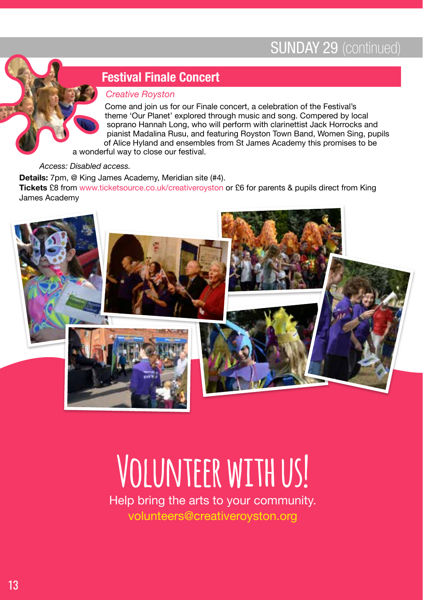## SUNDAY 29 (continued)



## Festival Finale Concert

#### Creative Royston

Come and join us for our Finale concert, a celebration of the Festival's theme 'Our Planet' explored through music and song. Compered by local soprano Hannah Long, who will perform with clarinettist Jack Horrocks and pianist Madalina Rusu, and featuring Royston Town Band, Women Sing, pupils of Alice Hyland and ensembles from St James Academy this promises to be a wonderful way to close our festival.

Access: Disabled access.

Details: 7pm, @ King James Academy, Meridian site (#4). Tickets £8 from www.ticketsource.co.uk/creativeroyston or £6 for parents & pupils direct from King James Academy



# **Volunteer with us!**

Help bring the arts to your community. volunteers@creativeroyston.org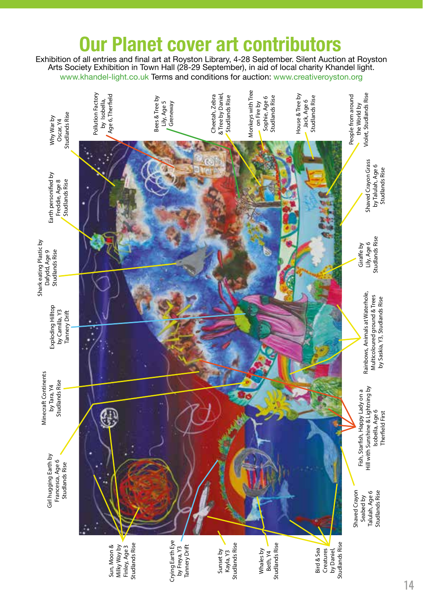# ur Planet cover art contributors

Exhibition of all entries and final art at Royston Library, 4-28 September. Silent Auction at Royston Arts Society Exhibition in Town Hall (28-29 September), in aid of local charity Khandel light. www.khandel-light.co.uk Terms and conditions for auction: www.creativeroyston.org